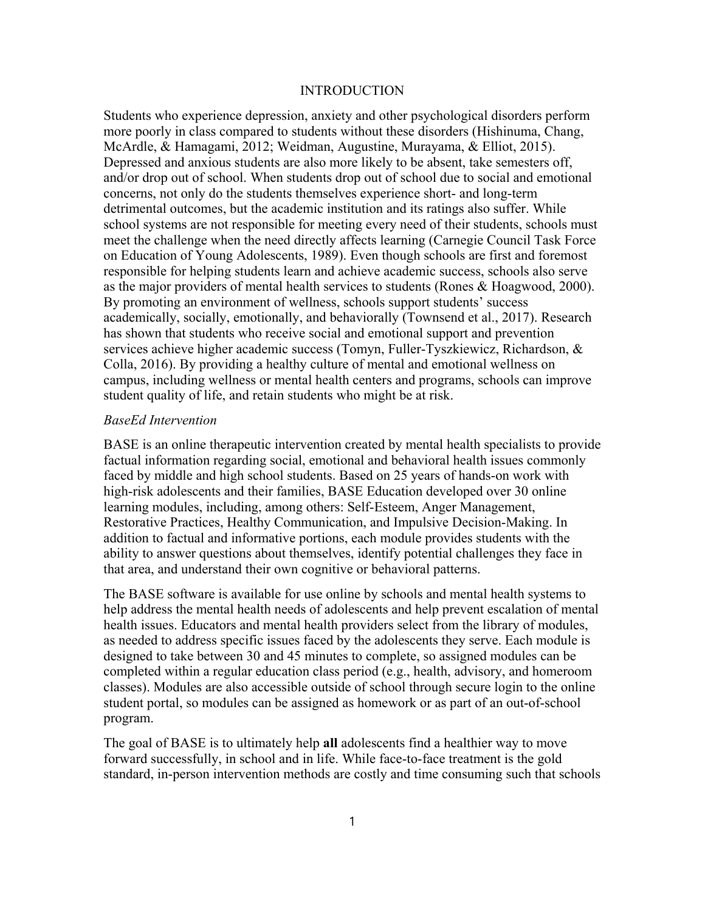# **INTRODUCTION**

Students who experience depression, anxiety and other psychological disorders perform more poorly in class compared to students without these disorders (Hishinuma, Chang, McArdle, & Hamagami, 2012; Weidman, Augustine, Murayama, & Elliot, 2015). Depressed and anxious students are also more likely to be absent, take semesters off, and/or drop out of school. When students drop out of school due to social and emotional concerns, not only do the students themselves experience short- and long-term detrimental outcomes, but the academic institution and its ratings also suffer. While school systems are not responsible for meeting every need of their students, schools must meet the challenge when the need directly affects learning (Carnegie Council Task Force on Education of Young Adolescents, 1989). Even though schools are first and foremost responsible for helping students learn and achieve academic success, schools also serve as the major providers of mental health services to students (Rones & Hoagwood, 2000). By promoting an environment of wellness, schools support students' success academically, socially, emotionally, and behaviorally (Townsend et al., 2017). Research has shown that students who receive social and emotional support and prevention services achieve higher academic success (Tomyn, Fuller-Tyszkiewicz, Richardson, & Colla, 2016). By providing a healthy culture of mental and emotional wellness on campus, including wellness or mental health centers and programs, schools can improve student quality of life, and retain students who might be at risk.

## *BaseEd Intervention*

BASE is an online therapeutic intervention created by mental health specialists to provide factual information regarding social, emotional and behavioral health issues commonly faced by middle and high school students. Based on 25 years of hands-on work with high-risk adolescents and their families, BASE Education developed over 30 online learning modules, including, among others: Self-Esteem, Anger Management, Restorative Practices, Healthy Communication, and Impulsive Decision-Making. In addition to factual and informative portions, each module provides students with the ability to answer questions about themselves, identify potential challenges they face in that area, and understand their own cognitive or behavioral patterns.

The BASE software is available for use online by schools and mental health systems to help address the mental health needs of adolescents and help prevent escalation of mental health issues. Educators and mental health providers select from the library of modules, as needed to address specific issues faced by the adolescents they serve. Each module is designed to take between 30 and 45 minutes to complete, so assigned modules can be completed within a regular education class period (e.g., health, advisory, and homeroom classes). Modules are also accessible outside of school through secure login to the online student portal, so modules can be assigned as homework or as part of an out-of-school program.

The goal of BASE is to ultimately help **all** adolescents find a healthier way to move forward successfully, in school and in life. While face-to-face treatment is the gold standard, in-person intervention methods are costly and time consuming such that schools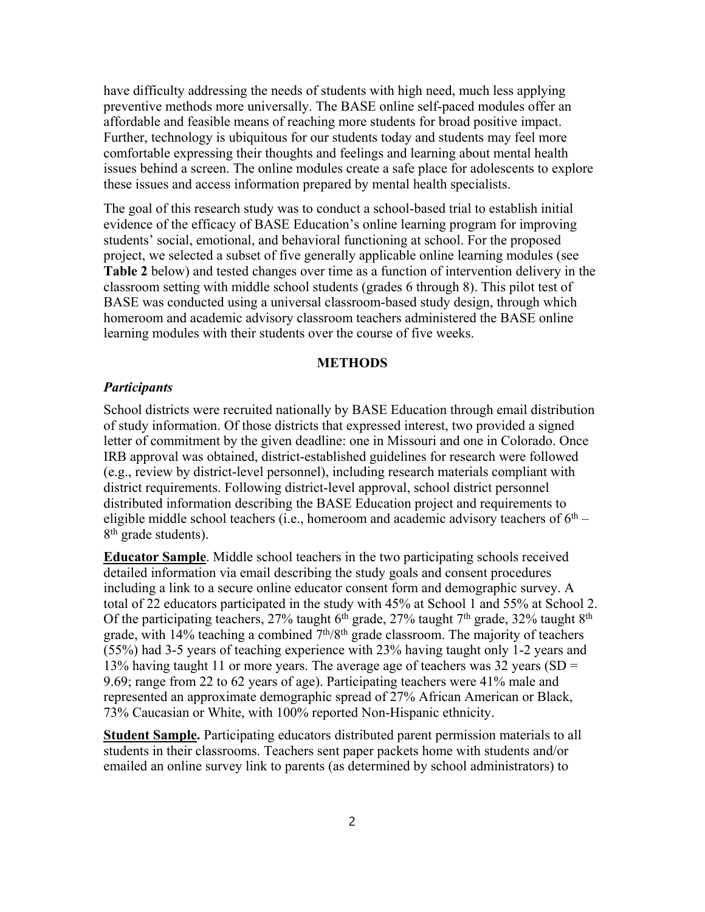have difficulty addressing the needs of students with high need, much less applying preventive methods more universally. The BASE online self-paced modules offer an affordable and feasible means of reaching more students for broad positive impact. Further, technology is ubiquitous for our students today and students may feel more comfortable expressing their thoughts and feelings and learning about mental health issues behind a screen. The online modules create a safe place for adolescents to explore these issues and access information prepared by mental health specialists.

The goal of this research study was to conduct a school-based trial to establish initial evidence of the efficacy of BASE Education's online learning program for improving students' social, emotional, and behavioral functioning at school. For the proposed project, we selected a subset of five generally applicable online learning modules (see **Table 2** below) and tested changes over time as a function of intervention delivery in the classroom setting with middle school students (grades 6 through 8). This pilot test of BASE was conducted using a universal classroom-based study design, through which homeroom and academic advisory classroom teachers administered the BASE online learning modules with their students over the course of five weeks.

## **METHODS**

## *Participants*

School districts were recruited nationally by BASE Education through email distribution of study information. Of those districts that expressed interest, two provided a signed letter of commitment by the given deadline: one in Missouri and one in Colorado. Once IRB approval was obtained, district-established guidelines for research were followed (e.g., review by district-level personnel), including research materials compliant with district requirements. Following district-level approval, school district personnel distributed information describing the BASE Education project and requirements to eligible middle school teachers (i.e., homeroom and academic advisory teachers of  $6<sup>th</sup>$  – 8<sup>th</sup> grade students).

**Educator Sample**. Middle school teachers in the two participating schools received detailed information via email describing the study goals and consent procedures including a link to a secure online educator consent form and demographic survey. A total of 22 educators participated in the study with 45% at School 1 and 55% at School 2. Of the participating teachers, 27% taught  $6<sup>th</sup>$  grade, 27% taught 7<sup>th</sup> grade, 32% taught  $8<sup>th</sup>$ grade, with  $14\%$  teaching a combined  $7<sup>th</sup>/8<sup>th</sup>$  grade classroom. The majority of teachers (55%) had 3-5 years of teaching experience with 23% having taught only 1-2 years and 13% having taught 11 or more years. The average age of teachers was 32 years (SD  $=$ 9.69; range from 22 to 62 years of age). Participating teachers were 41% male and represented an approximate demographic spread of 27% African American or Black, 73% Caucasian or White, with 100% reported Non-Hispanic ethnicity.

**Student Sample.** Participating educators distributed parent permission materials to all students in their classrooms. Teachers sent paper packets home with students and/or emailed an online survey link to parents (as determined by school administrators) to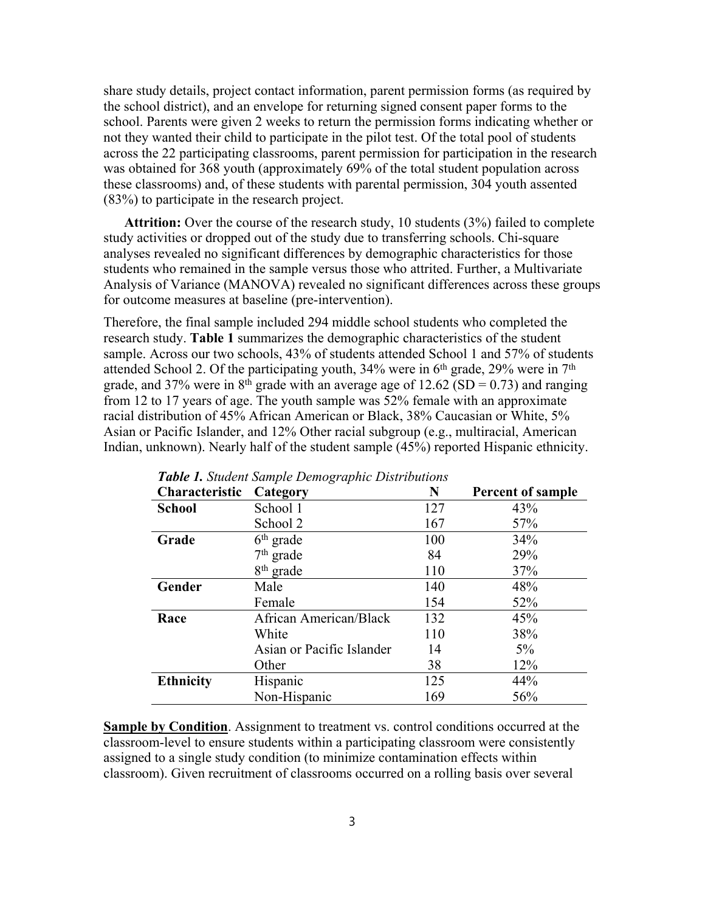share study details, project contact information, parent permission forms (as required by the school district), and an envelope for returning signed consent paper forms to the school. Parents were given 2 weeks to return the permission forms indicating whether or not they wanted their child to participate in the pilot test. Of the total pool of students across the 22 participating classrooms, parent permission for participation in the research was obtained for 368 youth (approximately 69% of the total student population across these classrooms) and, of these students with parental permission, 304 youth assented (83%) to participate in the research project.

**Attrition:** Over the course of the research study, 10 students (3%) failed to complete study activities or dropped out of the study due to transferring schools. Chi-square analyses revealed no significant differences by demographic characteristics for those students who remained in the sample versus those who attrited. Further, a Multivariate Analysis of Variance (MANOVA) revealed no significant differences across these groups for outcome measures at baseline (pre-intervention).

Therefore, the final sample included 294 middle school students who completed the research study. **Table 1** summarizes the demographic characteristics of the student sample. Across our two schools, 43% of students attended School 1 and 57% of students attended School 2. Of the participating youth,  $34\%$  were in 6<sup>th</sup> grade,  $29\%$  were in 7<sup>th</sup> grade, and 37% were in  $8<sup>th</sup>$  grade with an average age of 12.62 (SD = 0.73) and ranging from 12 to 17 years of age. The youth sample was 52% female with an approximate racial distribution of 45% African American or Black, 38% Caucasian or White, 5% Asian or Pacific Islander, and 12% Other racial subgroup (e.g., multiracial, American Indian, unknown). Nearly half of the student sample (45%) reported Hispanic ethnicity.

| <b>Characteristic</b> | Category                      | N   | <b>Percent of sample</b> |
|-----------------------|-------------------------------|-----|--------------------------|
| <b>School</b>         | School 1                      | 127 | 43%                      |
|                       | School 2                      | 167 | 57%                      |
| Grade                 | $6th$ grade                   | 100 | 34%                      |
|                       | $7th$ grade                   | 84  | 29%                      |
|                       | 8 <sup>th</sup> grade         | 110 | 37%                      |
| Gender                | Male                          | 140 | 48%                      |
|                       | Female                        | 154 | 52%                      |
| Race                  | <b>African American/Black</b> | 132 | 45%                      |
|                       | White                         | 110 | 38%                      |
|                       | Asian or Pacific Islander     | 14  | $5\%$                    |
|                       | Other                         | 38  | 12%                      |
| <b>Ethnicity</b>      | Hispanic                      | 125 | 44%                      |
|                       | Non-Hispanic                  | 169 | 56%                      |

*Table 1. Student Sample Demographic Distributions*

**Sample by Condition**. Assignment to treatment vs. control conditions occurred at the classroom-level to ensure students within a participating classroom were consistently assigned to a single study condition (to minimize contamination effects within classroom). Given recruitment of classrooms occurred on a rolling basis over several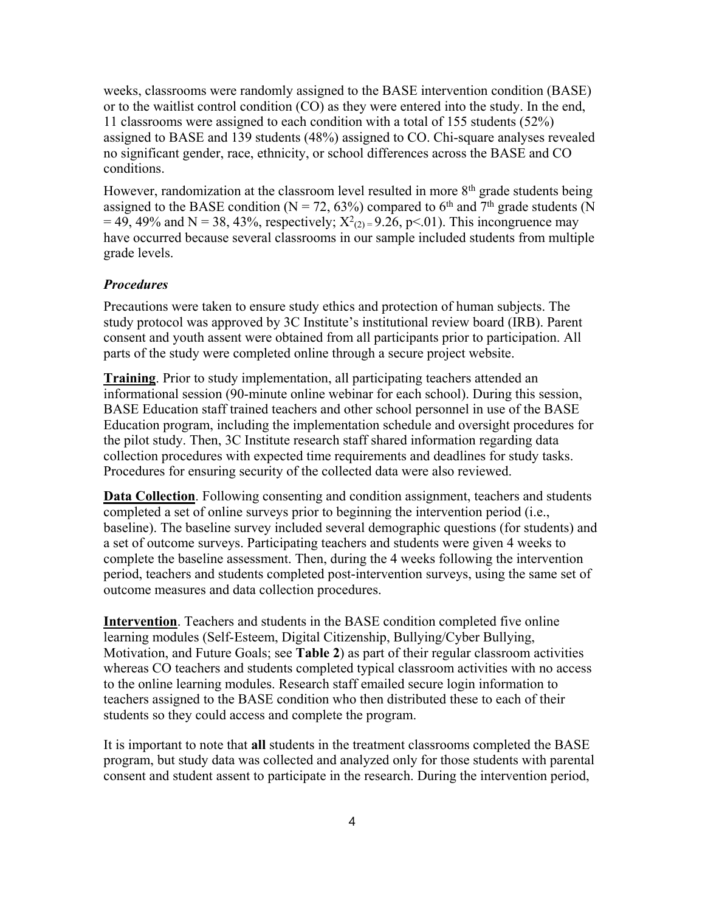weeks, classrooms were randomly assigned to the BASE intervention condition (BASE) or to the waitlist control condition (CO) as they were entered into the study. In the end, 11 classrooms were assigned to each condition with a total of 155 students (52%) assigned to BASE and 139 students (48%) assigned to CO. Chi-square analyses revealed no significant gender, race, ethnicity, or school differences across the BASE and CO conditions.

However, randomization at the classroom level resulted in more  $8<sup>th</sup>$  grade students being assigned to the BASE condition ( $N = 72, 63\%$ ) compared to 6<sup>th</sup> and  $7<sup>th</sup>$  grade students (N  $= 49, 49\%$  and N = 38, 43%, respectively;  $X^2_{(2)} = 9.26$ , p<.01). This incongruence may have occurred because several classrooms in our sample included students from multiple grade levels.

## *Procedures*

Precautions were taken to ensure study ethics and protection of human subjects. The study protocol was approved by 3C Institute's institutional review board (IRB). Parent consent and youth assent were obtained from all participants prior to participation. All parts of the study were completed online through a secure project website.

**Training**. Prior to study implementation, all participating teachers attended an informational session (90-minute online webinar for each school). During this session, BASE Education staff trained teachers and other school personnel in use of the BASE Education program, including the implementation schedule and oversight procedures for the pilot study. Then, 3C Institute research staff shared information regarding data collection procedures with expected time requirements and deadlines for study tasks. Procedures for ensuring security of the collected data were also reviewed.

**Data Collection**. Following consenting and condition assignment, teachers and students completed a set of online surveys prior to beginning the intervention period (i.e., baseline). The baseline survey included several demographic questions (for students) and a set of outcome surveys. Participating teachers and students were given 4 weeks to complete the baseline assessment. Then, during the 4 weeks following the intervention period, teachers and students completed post-intervention surveys, using the same set of outcome measures and data collection procedures.

**Intervention**. Teachers and students in the BASE condition completed five online learning modules (Self-Esteem, Digital Citizenship, Bullying/Cyber Bullying, Motivation, and Future Goals; see **Table 2**) as part of their regular classroom activities whereas CO teachers and students completed typical classroom activities with no access to the online learning modules. Research staff emailed secure login information to teachers assigned to the BASE condition who then distributed these to each of their students so they could access and complete the program.

It is important to note that **all** students in the treatment classrooms completed the BASE program, but study data was collected and analyzed only for those students with parental consent and student assent to participate in the research. During the intervention period,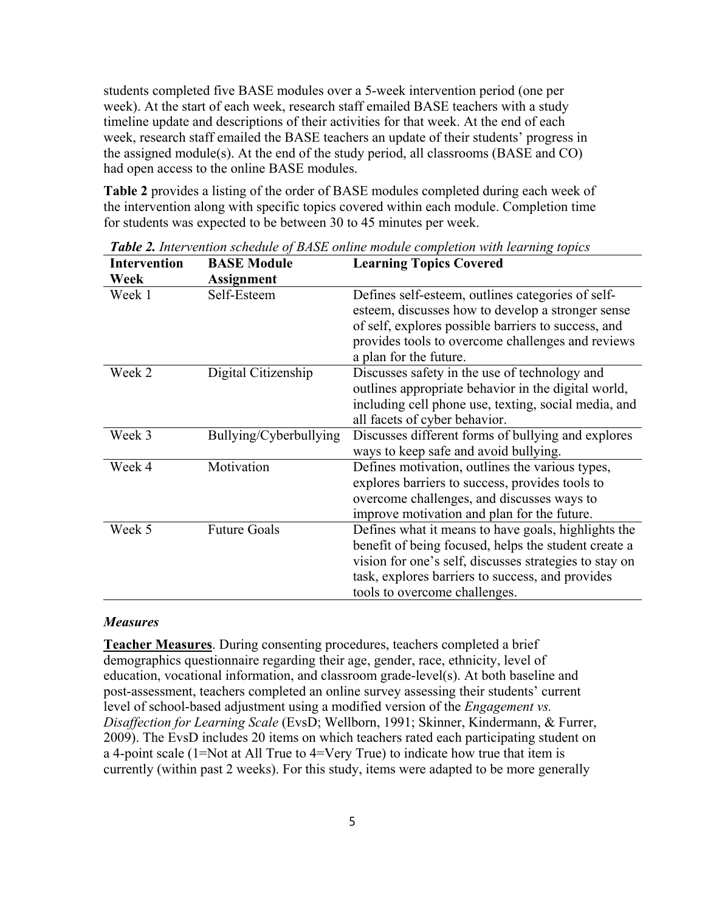students completed five BASE modules over a 5-week intervention period (one per week). At the start of each week, research staff emailed BASE teachers with a study timeline update and descriptions of their activities for that week. At the end of each week, research staff emailed the BASE teachers an update of their students' progress in the assigned module(s). At the end of the study period, all classrooms (BASE and CO) had open access to the online BASE modules.

**Table 2** provides a listing of the order of BASE modules completed during each week of the intervention along with specific topics covered within each module. Completion time for students was expected to be between 30 to 45 minutes per week.

| <b>Intervention</b> | <b>BASE Module</b>     | <b>Learning Topics Covered</b>                                                                                                                                                                                                                             |
|---------------------|------------------------|------------------------------------------------------------------------------------------------------------------------------------------------------------------------------------------------------------------------------------------------------------|
| Week                | <b>Assignment</b>      |                                                                                                                                                                                                                                                            |
| Week 1              | Self-Esteem            | Defines self-esteem, outlines categories of self-<br>esteem, discusses how to develop a stronger sense<br>of self, explores possible barriers to success, and<br>provides tools to overcome challenges and reviews<br>a plan for the future.               |
| Week 2              | Digital Citizenship    | Discusses safety in the use of technology and<br>outlines appropriate behavior in the digital world,<br>including cell phone use, texting, social media, and<br>all facets of cyber behavior.                                                              |
| Week 3              | Bullying/Cyberbullying | Discusses different forms of bullying and explores<br>ways to keep safe and avoid bullying.                                                                                                                                                                |
| Week 4              | Motivation             | Defines motivation, outlines the various types,<br>explores barriers to success, provides tools to<br>overcome challenges, and discusses ways to<br>improve motivation and plan for the future.                                                            |
| Week 5              | <b>Future Goals</b>    | Defines what it means to have goals, highlights the<br>benefit of being focused, helps the student create a<br>vision for one's self, discusses strategies to stay on<br>task, explores barriers to success, and provides<br>tools to overcome challenges. |

*Table 2. Intervention schedule of BASE online module completion with learning topics*

### *Measures*

**Teacher Measures**. During consenting procedures, teachers completed a brief demographics questionnaire regarding their age, gender, race, ethnicity, level of education, vocational information, and classroom grade-level(s). At both baseline and post-assessment, teachers completed an online survey assessing their students' current level of school-based adjustment using a modified version of the *Engagement vs. Disaffection for Learning Scale* (EvsD; Wellborn, 1991; Skinner, Kindermann, & Furrer, 2009). The EvsD includes 20 items on which teachers rated each participating student on a 4-point scale (1=Not at All True to 4=Very True) to indicate how true that item is currently (within past 2 weeks). For this study, items were adapted to be more generally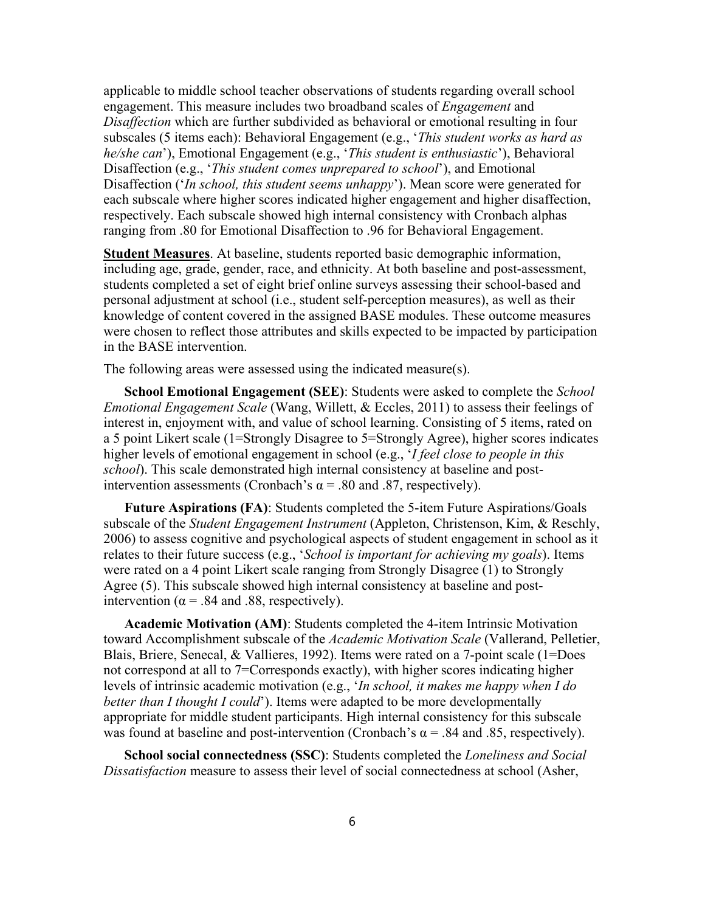applicable to middle school teacher observations of students regarding overall school engagement. This measure includes two broadband scales of *Engagement* and *Disaffection* which are further subdivided as behavioral or emotional resulting in four subscales (5 items each): Behavioral Engagement (e.g., '*This student works as hard as he/she can*'), Emotional Engagement (e.g., '*This student is enthusiastic*'), Behavioral Disaffection (e.g., '*This student comes unprepared to school*'), and Emotional Disaffection ('*In school, this student seems unhappy*'). Mean score were generated for each subscale where higher scores indicated higher engagement and higher disaffection, respectively. Each subscale showed high internal consistency with Cronbach alphas ranging from .80 for Emotional Disaffection to .96 for Behavioral Engagement.

**Student Measures**. At baseline, students reported basic demographic information, including age, grade, gender, race, and ethnicity. At both baseline and post-assessment, students completed a set of eight brief online surveys assessing their school-based and personal adjustment at school (i.e., student self-perception measures), as well as their knowledge of content covered in the assigned BASE modules. These outcome measures were chosen to reflect those attributes and skills expected to be impacted by participation in the BASE intervention.

The following areas were assessed using the indicated measure(s).

**School Emotional Engagement (SEE)**: Students were asked to complete the *School Emotional Engagement Scale* (Wang, Willett, & Eccles, 2011) to assess their feelings of interest in, enjoyment with, and value of school learning. Consisting of 5 items, rated on a 5 point Likert scale (1=Strongly Disagree to 5=Strongly Agree), higher scores indicates higher levels of emotional engagement in school (e.g., '*I feel close to people in this school*). This scale demonstrated high internal consistency at baseline and postintervention assessments (Cronbach's  $\alpha$  = .80 and .87, respectively).

**Future Aspirations (FA)**: Students completed the 5-item Future Aspirations/Goals subscale of the *Student Engagement Instrument* (Appleton, Christenson, Kim, & Reschly, 2006) to assess cognitive and psychological aspects of student engagement in school as it relates to their future success (e.g., '*School is important for achieving my goals*). Items were rated on a 4 point Likert scale ranging from Strongly Disagree (1) to Strongly Agree (5). This subscale showed high internal consistency at baseline and postintervention ( $\alpha$  = .84 and .88, respectively).

**Academic Motivation (AM)**: Students completed the 4-item Intrinsic Motivation toward Accomplishment subscale of the *Academic Motivation Scale* (Vallerand, Pelletier, Blais, Briere, Senecal, & Vallieres, 1992). Items were rated on a 7-point scale (1=Does not correspond at all to 7=Corresponds exactly), with higher scores indicating higher levels of intrinsic academic motivation (e.g., '*In school, it makes me happy when I do better than I thought I could*'). Items were adapted to be more developmentally appropriate for middle student participants. High internal consistency for this subscale was found at baseline and post-intervention (Cronbach's  $\alpha$  = .84 and .85, respectively).

**School social connectedness (SSC)**: Students completed the *Loneliness and Social Dissatisfaction* measure to assess their level of social connectedness at school (Asher,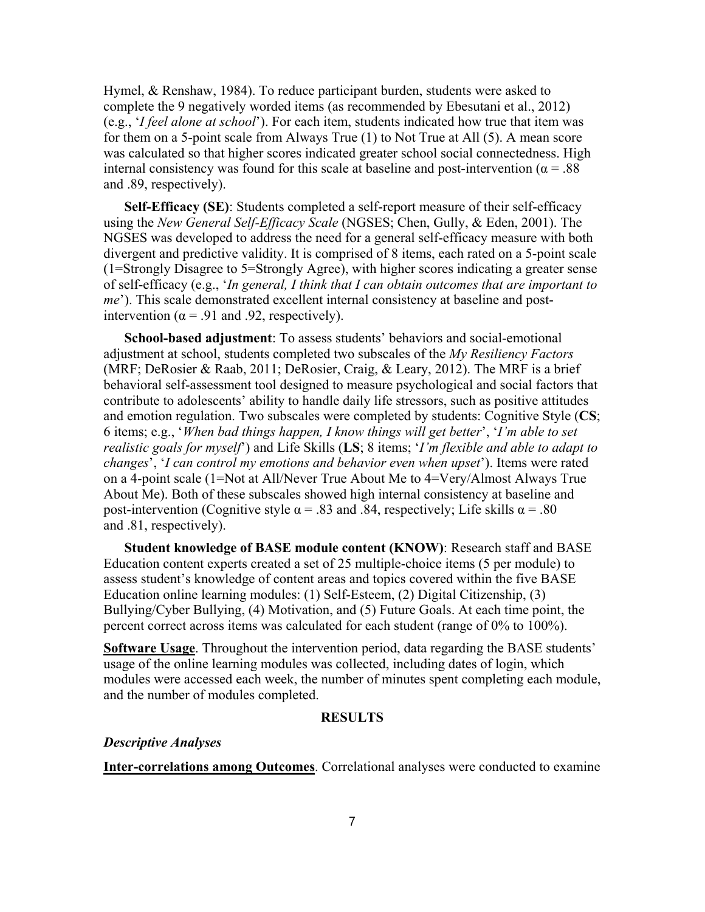Hymel, & Renshaw, 1984). To reduce participant burden, students were asked to complete the 9 negatively worded items (as recommended by Ebesutani et al., 2012) (e.g., '*I feel alone at school*'). For each item, students indicated how true that item was for them on a 5-point scale from Always True (1) to Not True at All (5). A mean score was calculated so that higher scores indicated greater school social connectedness. High internal consistency was found for this scale at baseline and post-intervention ( $\alpha = .88$ ) and .89, respectively).

**Self-Efficacy (SE)**: Students completed a self-report measure of their self-efficacy using the *New General Self-Efficacy Scale* (NGSES; Chen, Gully, & Eden, 2001). The NGSES was developed to address the need for a general self-efficacy measure with both divergent and predictive validity. It is comprised of 8 items, each rated on a 5-point scale (1=Strongly Disagree to 5=Strongly Agree), with higher scores indicating a greater sense of self-efficacy (e.g., '*In general, I think that I can obtain outcomes that are important to me*'). This scale demonstrated excellent internal consistency at baseline and postintervention ( $\alpha$  = .91 and .92, respectively).

**School-based adjustment**: To assess students' behaviors and social-emotional adjustment at school, students completed two subscales of the *My Resiliency Factors*  (MRF; DeRosier & Raab, 2011; DeRosier, Craig, & Leary, 2012). The MRF is a brief behavioral self-assessment tool designed to measure psychological and social factors that contribute to adolescents' ability to handle daily life stressors, such as positive attitudes and emotion regulation. Two subscales were completed by students: Cognitive Style (**CS**; 6 items; e.g., '*When bad things happen, I know things will get better*', '*I'm able to set realistic goals for myself*') and Life Skills (**LS**; 8 items; '*I'm flexible and able to adapt to changes*', '*I can control my emotions and behavior even when upset*'). Items were rated on a 4-point scale (1=Not at All/Never True About Me to 4=Very/Almost Always True About Me). Both of these subscales showed high internal consistency at baseline and post-intervention (Cognitive style  $\alpha = .83$  and .84, respectively; Life skills  $\alpha = .80$ and .81, respectively).

**Student knowledge of BASE module content (KNOW)**: Research staff and BASE Education content experts created a set of 25 multiple-choice items (5 per module) to assess student's knowledge of content areas and topics covered within the five BASE Education online learning modules: (1) Self-Esteem, (2) Digital Citizenship, (3) Bullying/Cyber Bullying, (4) Motivation, and (5) Future Goals. At each time point, the percent correct across items was calculated for each student (range of 0% to 100%).

**Software Usage**. Throughout the intervention period, data regarding the BASE students' usage of the online learning modules was collected, including dates of login, which modules were accessed each week, the number of minutes spent completing each module, and the number of modules completed.

#### **RESULTS**

### *Descriptive Analyses*

**Inter-correlations among Outcomes**. Correlational analyses were conducted to examine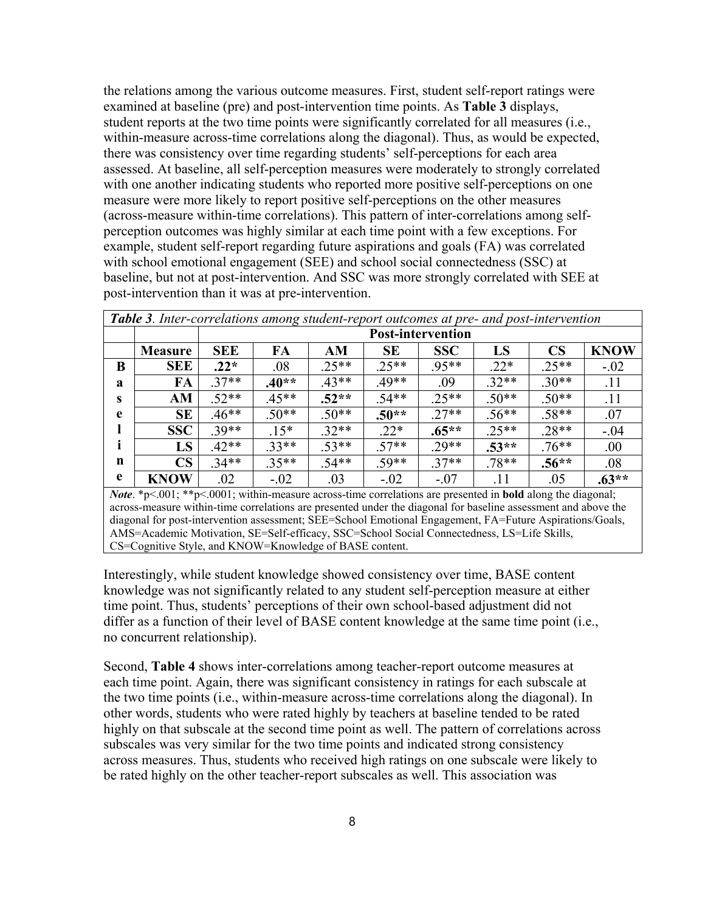the relations among the various outcome measures. First, student self-report ratings were examined at baseline (pre) and post-intervention time points. As **Table 3** displays, student reports at the two time points were significantly correlated for all measures (i.e., within-measure across-time correlations along the diagonal). Thus, as would be expected, there was consistency over time regarding students' self-perceptions for each area assessed. At baseline, all self-perception measures were moderately to strongly correlated with one another indicating students who reported more positive self-perceptions on one measure were more likely to report positive self-perceptions on the other measures (across-measure within-time correlations). This pattern of inter-correlations among selfperception outcomes was highly similar at each time point with a few exceptions. For example, student self-report regarding future aspirations and goals (FA) was correlated with school emotional engagement (SEE) and school social connectedness (SSC) at baseline, but not at post-intervention. And SSC was more strongly correlated with SEE at post-intervention than it was at pre-intervention.

|   | Table 3. Inter-correlations among student-report outcomes at pre- and post-intervention |                          |         |         |           |            |         |                        |             |
|---|-----------------------------------------------------------------------------------------|--------------------------|---------|---------|-----------|------------|---------|------------------------|-------------|
|   |                                                                                         | <b>Post-intervention</b> |         |         |           |            |         |                        |             |
|   | <b>Measure</b>                                                                          | <b>SEE</b>               | FA      | AM      | <b>SE</b> | <b>SSC</b> | LS      | $\overline{\text{CS}}$ | <b>KNOW</b> |
| B | <b>SEE</b>                                                                              | $.22*$                   | .08     | $.25**$ | $.25**$   | $.95**$    | $.22*$  | $.25**$                | $-.02$      |
| a | FA                                                                                      | $.37**$                  | $.40**$ | $.43**$ | $.49**$   | .09        | $.32**$ | $.30**$                | .11         |
| S | AM                                                                                      | $.52**$                  | $.45**$ | $.52**$ | $.54**$   | $.25**$    | $.50**$ | $.50**$                | .11         |
| e | <b>SE</b>                                                                               | $.46**$                  | $.50**$ | $.50**$ | $.50**$   | $.27**$    | $.56**$ | $.58**$                | .07         |
|   | <b>SSC</b>                                                                              | $.39**$                  | $.15*$  | $.32**$ | $.22*$    | $.65**$    | $.25**$ | $.28**$                | $-.04$      |
|   | LS                                                                                      | $.42**$                  | $.33**$ | $.53**$ | $.57**$   | $.29**$    | $.53**$ | $.76**$                | .00         |
| n | $\overline{\text{CS}}$                                                                  | $.34**$                  | $.35**$ | $.54**$ | $.59**$   | $.37**$    | $.78**$ | $.56**$                | .08         |
| e | <b>KNOW</b>                                                                             | .02                      | $-.02$  | .03     | $-.02$    | $-.07$     | .11     | .05                    | $.63**$     |

*Note*. \*p<.001; \*\*p<.0001; within-measure across-time correlations are presented in **bold** along the diagonal; across-measure within-time correlations are presented under the diagonal for baseline assessment and above the diagonal for post-intervention assessment; SEE=School Emotional Engagement, FA=Future Aspirations/Goals, AMS=Academic Motivation, SE=Self-efficacy, SSC=School Social Connectedness, LS=Life Skills, CS=Cognitive Style, and KNOW=Knowledge of BASE content.

Interestingly, while student knowledge showed consistency over time, BASE content knowledge was not significantly related to any student self-perception measure at either time point. Thus, students' perceptions of their own school-based adjustment did not differ as a function of their level of BASE content knowledge at the same time point (i.e., no concurrent relationship).

Second, **Table 4** shows inter-correlations among teacher-report outcome measures at each time point. Again, there was significant consistency in ratings for each subscale at the two time points (i.e., within-measure across-time correlations along the diagonal). In other words, students who were rated highly by teachers at baseline tended to be rated highly on that subscale at the second time point as well. The pattern of correlations across subscales was very similar for the two time points and indicated strong consistency across measures. Thus, students who received high ratings on one subscale were likely to be rated highly on the other teacher-report subscales as well. This association was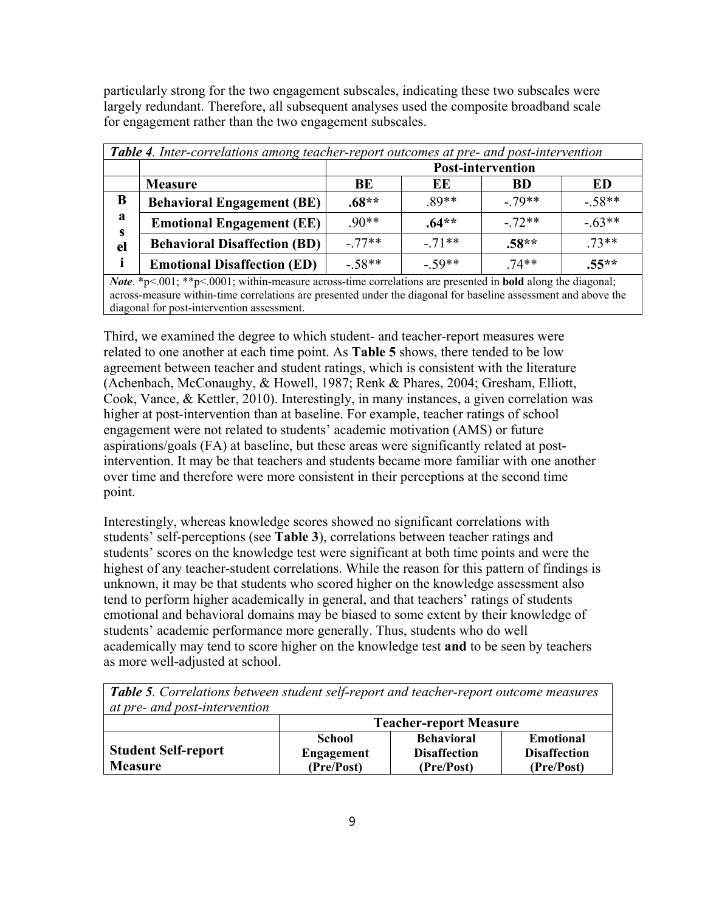particularly strong for the two engagement subscales, indicating these two subscales were largely redundant. Therefore, all subsequent analyses used the composite broadband scale for engagement rather than the two engagement subscales.

| Table 4. Inter-correlations among teacher-report outcomes at pre- and post-intervention |                                     |                          |          |           |          |
|-----------------------------------------------------------------------------------------|-------------------------------------|--------------------------|----------|-----------|----------|
|                                                                                         |                                     | <b>Post-intervention</b> |          |           |          |
|                                                                                         | <b>Measure</b>                      | BE                       | EE       | <b>BD</b> | ED       |
| B                                                                                       | <b>Behavioral Engagement (BE)</b>   | $.68**$                  | $.89**$  | $-79**$   | $-.58**$ |
| a<br>S                                                                                  | <b>Emotional Engagement (EE)</b>    | $.90**$                  | $.64**$  | $-.72**$  | $-.63**$ |
| el                                                                                      | <b>Behavioral Disaffection (BD)</b> | $-77**$                  | $-.71**$ | $.58**$   | $.73**$  |
| i                                                                                       | <b>Emotional Disaffection (ED)</b>  | $-.58**$                 | $-.59**$ | $.74**$   | $.55**$  |

*Note*. \*p<.001; \*\*p<.0001; within-measure across-time correlations are presented in **bold** along the diagonal; across-measure within-time correlations are presented under the diagonal for baseline assessment and above the diagonal for post-intervention assessment.

Third, we examined the degree to which student- and teacher-report measures were related to one another at each time point. As **Table 5** shows, there tended to be low agreement between teacher and student ratings, which is consistent with the literature (Achenbach, McConaughy, & Howell, 1987; Renk & Phares, 2004; Gresham, Elliott, Cook, Vance, & Kettler, 2010). Interestingly, in many instances, a given correlation was higher at post-intervention than at baseline. For example, teacher ratings of school engagement were not related to students' academic motivation (AMS) or future aspirations/goals (FA) at baseline, but these areas were significantly related at postintervention. It may be that teachers and students became more familiar with one another over time and therefore were more consistent in their perceptions at the second time point.

Interestingly, whereas knowledge scores showed no significant correlations with students' self-perceptions (see **Table 3**), correlations between teacher ratings and students' scores on the knowledge test were significant at both time points and were the highest of any teacher-student correlations. While the reason for this pattern of findings is unknown, it may be that students who scored higher on the knowledge assessment also tend to perform higher academically in general, and that teachers' ratings of students emotional and behavioral domains may be biased to some extent by their knowledge of students' academic performance more generally. Thus, students who do well academically may tend to score higher on the knowledge test **and** to be seen by teachers as more well-adjusted at school.

| <b>Table 5.</b> Correlations between student self-report and teacher-report outcome measures |                                                                 |                   |                  |  |  |  |
|----------------------------------------------------------------------------------------------|-----------------------------------------------------------------|-------------------|------------------|--|--|--|
| at pre- and post-intervention                                                                |                                                                 |                   |                  |  |  |  |
|                                                                                              | <b>Teacher-report Measure</b>                                   |                   |                  |  |  |  |
|                                                                                              | School                                                          | <b>Behavioral</b> | <b>Emotional</b> |  |  |  |
| <b>Student Self-report</b>                                                                   | <b>Engagement</b><br><b>Disaffection</b><br><b>Disaffection</b> |                   |                  |  |  |  |
| <b>Measure</b>                                                                               | (Pre/Post)                                                      | (Pre/Post)        | (Pre/Post)       |  |  |  |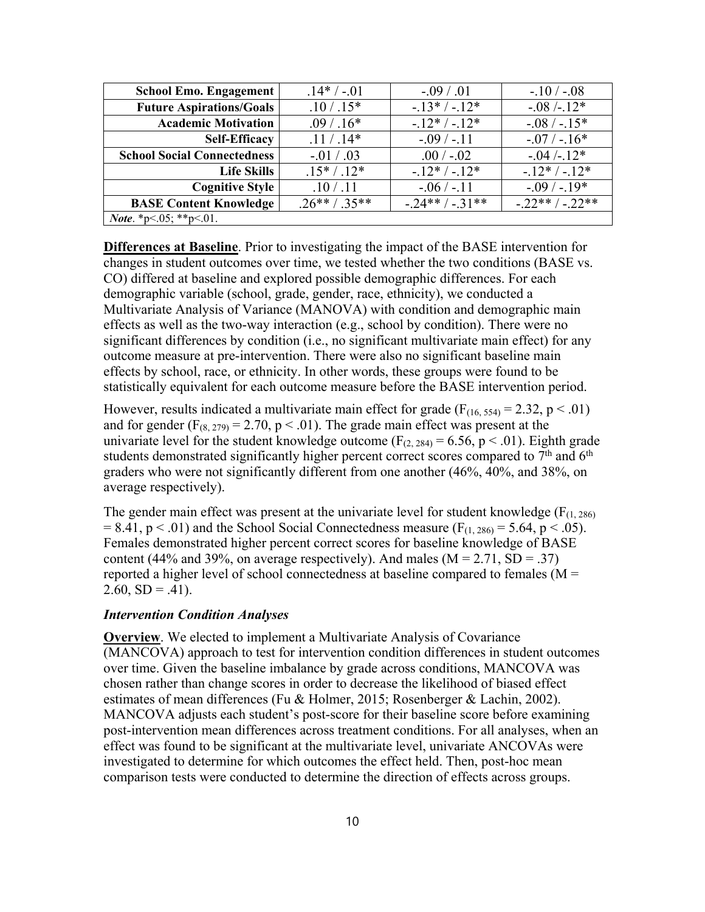| <b>School Emo. Engagement</b>      | $.14*/-01$      | $-.09 / .01$   | $-.10 / -.08$  |
|------------------------------------|-----------------|----------------|----------------|
| <b>Future Aspirations/Goals</b>    | $.10 / .15*$    | $-13*/-12*$    | $-.08/-12*$    |
| <b>Academic Motivation</b>         | $.09/0.16*$     | $-12*/-12*$    | $-.08 / -.15*$ |
| <b>Self-Efficacy</b>               | $.11 / .14*$    | $-.09/-.11$    | $-.07/-.16*$   |
| <b>School Social Connectedness</b> | $-.01 / .03$    | $.00 / -02$    | $-0.04$ /-.12* |
| <b>Life Skills</b>                 | $.15*/.12*$     | $-.12*/-.12*$  | $-.12*/-.12*$  |
| <b>Cognitive Style</b>             | .10 / .11       | $-.06 / -.11$  | $-.09/-.19*$   |
| <b>BASE Content Knowledge</b>      | $.26***/0.35**$ | $-.24**/-31**$ | $-.22**/-22**$ |
| <i>Note.</i> *p<.05; **p<.01.      |                 |                |                |

**Differences at Baseline**. Prior to investigating the impact of the BASE intervention for changes in student outcomes over time, we tested whether the two conditions (BASE vs. CO) differed at baseline and explored possible demographic differences. For each demographic variable (school, grade, gender, race, ethnicity), we conducted a Multivariate Analysis of Variance (MANOVA) with condition and demographic main effects as well as the two-way interaction (e.g., school by condition). There were no significant differences by condition (i.e., no significant multivariate main effect) for any outcome measure at pre-intervention. There were also no significant baseline main effects by school, race, or ethnicity. In other words, these groups were found to be statistically equivalent for each outcome measure before the BASE intervention period.

However, results indicated a multivariate main effect for grade  $(F<sub>(16, 554)</sub> = 2.32, p < .01)$ and for gender  $(F_{(8, 279)} = 2.70, p < .01)$ . The grade main effect was present at the univariate level for the student knowledge outcome ( $F_{(2, 284)} = 6.56$ ,  $p < .01$ ). Eighth grade students demonstrated significantly higher percent correct scores compared to 7<sup>th</sup> and 6<sup>th</sup> graders who were not significantly different from one another (46%, 40%, and 38%, on average respectively).

The gender main effect was present at the univariate level for student knowledge  $(F_{(1, 286)}$  $= 8.41$ , p  $\lt$  0.01) and the School Social Connectedness measure (F<sub>(1, 286)</sub> = 5.64, p  $\lt$  0.05). Females demonstrated higher percent correct scores for baseline knowledge of BASE content (44% and 39%, on average respectively). And males ( $M = 2.71$ , SD = .37) reported a higher level of school connectedness at baseline compared to females ( $M =$  $2.60, SD = .41$ ).

## *Intervention Condition Analyses*

**Overview**. We elected to implement a Multivariate Analysis of Covariance (MANCOVA) approach to test for intervention condition differences in student outcomes over time. Given the baseline imbalance by grade across conditions, MANCOVA was chosen rather than change scores in order to decrease the likelihood of biased effect estimates of mean differences (Fu & Holmer, 2015; Rosenberger & Lachin, 2002). MANCOVA adjusts each student's post-score for their baseline score before examining post-intervention mean differences across treatment conditions. For all analyses, when an effect was found to be significant at the multivariate level, univariate ANCOVAs were investigated to determine for which outcomes the effect held. Then, post-hoc mean comparison tests were conducted to determine the direction of effects across groups.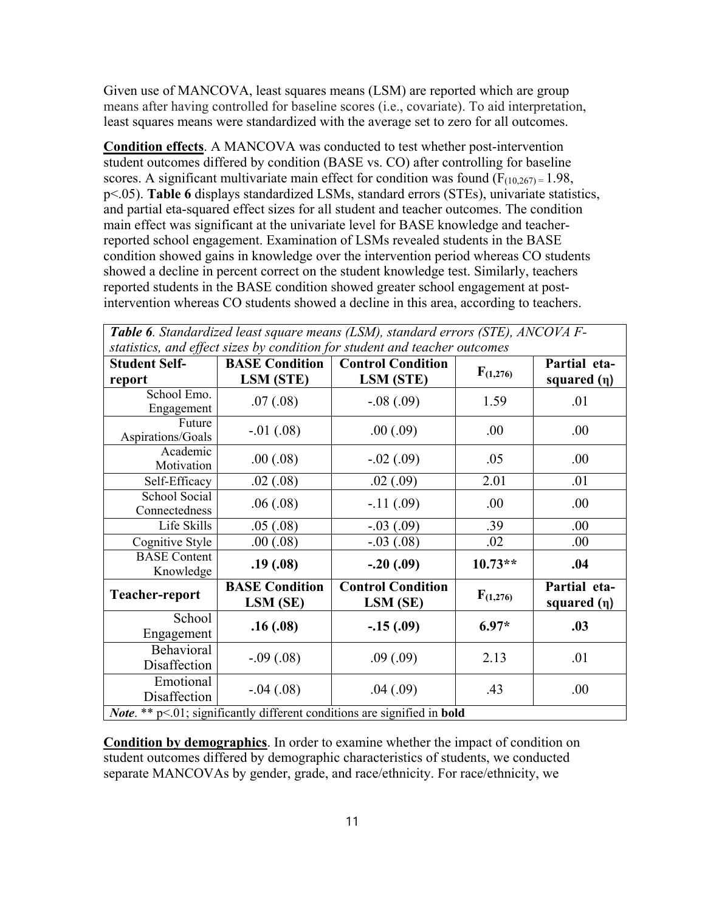Given use of MANCOVA, least squares means (LSM) are reported which are group means after having controlled for baseline scores (i.e., covariate). To aid interpretation, least squares means were standardized with the average set to zero for all outcomes.

**Condition effects**. A MANCOVA was conducted to test whether post-intervention student outcomes differed by condition (BASE vs. CO) after controlling for baseline scores. A significant multivariate main effect for condition was found  $(F_{(10,267)} = 1.98$ , p<.05). **Table 6** displays standardized LSMs, standard errors (STEs), univariate statistics, and partial eta-squared effect sizes for all student and teacher outcomes. The condition main effect was significant at the univariate level for BASE knowledge and teacherreported school engagement. Examination of LSMs revealed students in the BASE condition showed gains in knowledge over the intervention period whereas CO students showed a decline in percent correct on the student knowledge test. Similarly, teachers reported students in the BASE condition showed greater school engagement at postintervention whereas CO students showed a decline in this area, according to teachers.

| statistics, and effect sizes by condition for student and teacher outcomes |                                   |                                      |               |                                  |  |
|----------------------------------------------------------------------------|-----------------------------------|--------------------------------------|---------------|----------------------------------|--|
| <b>Student Self-</b>                                                       | <b>BASE Condition</b>             | <b>Control Condition</b>             |               | Partial eta-                     |  |
| report                                                                     | LSM (STE)                         | LSM (STE)                            | $F_{(1,276)}$ | squared $(\eta)$                 |  |
| School Emo.                                                                | .07(.08)                          | $-.08(.09)$                          | 1.59          | .01                              |  |
| Engagement                                                                 |                                   |                                      |               |                                  |  |
| Future                                                                     | $-.01(.08)$                       | .00(.09)                             | .00           | .00                              |  |
| Aspirations/Goals                                                          |                                   |                                      |               |                                  |  |
| Academic                                                                   | .00(.08)                          | $-.02(.09)$                          | .05           | .00                              |  |
| Motivation                                                                 |                                   |                                      |               |                                  |  |
| Self-Efficacy                                                              | .02(.08)                          | .02(.09)                             | 2.01          | .01                              |  |
| School Social                                                              | .06(.08)                          | $-.11(.09)$                          | .00           | .00                              |  |
| Connectedness                                                              |                                   |                                      |               |                                  |  |
| Life Skills                                                                | .05(.08)                          | $-.03(.09)$                          | .39           | .00.                             |  |
| Cognitive Style                                                            | .00(.08)                          | $-.03(.08)$                          | .02           | .00                              |  |
| <b>BASE</b> Content                                                        |                                   |                                      | $10.73**$     | .04                              |  |
| Knowledge                                                                  | .19(.08)                          | $-.20(.09)$                          |               |                                  |  |
| Teacher-report                                                             | <b>BASE Condition</b><br>LSM (SE) | <b>Control Condition</b><br>LSM (SE) | F(1,276)      | Partial eta-<br>squared $(\eta)$ |  |
| School                                                                     |                                   |                                      |               |                                  |  |
| Engagement                                                                 | .16(0.08)                         | $-.15(.09)$                          | $6.97*$       | .03                              |  |
| Behavioral                                                                 |                                   |                                      |               |                                  |  |
| Disaffection                                                               | $-.09(.08)$                       | .09(.09)                             | 2.13          | .01                              |  |
| Emotional                                                                  |                                   |                                      |               |                                  |  |
| Disaffection                                                               | $-.04(.08)$                       | .04(.09)                             | .43           | .00                              |  |
| Note. ** p<.01; significantly different conditions are signified in bold   |                                   |                                      |               |                                  |  |

*Table 6. Standardized least square means (LSM), standard errors (STE), ANCOVA F-*

**Condition by demographics**. In order to examine whether the impact of condition on student outcomes differed by demographic characteristics of students, we conducted separate MANCOVAs by gender, grade, and race/ethnicity. For race/ethnicity, we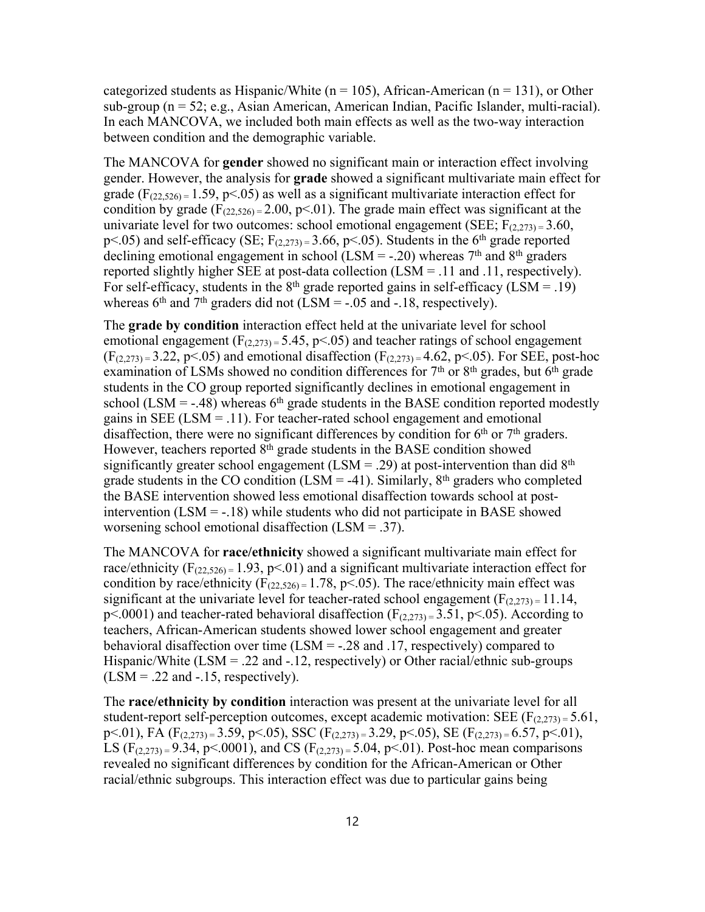categorized students as Hispanic/White ( $n = 105$ ), African-American ( $n = 131$ ), or Other sub-group (n = 52; e.g., Asian American, American Indian, Pacific Islander, multi-racial). In each MANCOVA, we included both main effects as well as the two-way interaction between condition and the demographic variable.

The MANCOVA for **gender** showed no significant main or interaction effect involving gender. However, the analysis for **grade** showed a significant multivariate main effect for grade ( $F_{(22,526)} = 1.59$ , p<.05) as well as a significant multivariate interaction effect for condition by grade ( $F_{(22,526)} = 2.00$ , p<.01). The grade main effect was significant at the univariate level for two outcomes: school emotional engagement (SEE;  $F_{(2,273)} = 3.60$ ,  $p<.05$ ) and self-efficacy (SE;  $F_{(2,273)} = 3.66$ ,  $p<.05$ ). Students in the 6<sup>th</sup> grade reported declining emotional engagement in school (LSM = -.20) whereas  $7<sup>th</sup>$  and  $8<sup>th</sup>$  graders reported slightly higher SEE at post-data collection (LSM = .11 and .11, respectively). For self-efficacy, students in the  $8<sup>th</sup>$  grade reported gains in self-efficacy (LSM = .19) whereas  $6<sup>th</sup>$  and  $7<sup>th</sup>$  graders did not (LSM = -.05 and -.18, respectively).

The **grade by condition** interaction effect held at the univariate level for school emotional engagement  $(F_{(2,273)} = 5.45, p<0.65)$  and teacher ratings of school engagement  $(F_{(2,273)} = 3.22, p<0.05)$  and emotional disaffection  $(F_{(2,273)} = 4.62, p<0.05)$ . For SEE, post-hoc examination of LSMs showed no condition differences for  $7<sup>th</sup>$  or  $8<sup>th</sup>$  grades, but  $6<sup>th</sup>$  grade students in the CO group reported significantly declines in emotional engagement in school (LSM = -.48) whereas  $6<sup>th</sup>$  grade students in the BASE condition reported modestly gains in SEE ( $LSM = .11$ ). For teacher-rated school engagement and emotional disaffection, there were no significant differences by condition for  $6<sup>th</sup>$  or  $7<sup>th</sup>$  graders. However, teachers reported  $8<sup>th</sup>$  grade students in the BASE condition showed significantly greater school engagement (LSM = .29) at post-intervention than did  $8<sup>th</sup>$ grade students in the CO condition (LSM = -41). Similarly,  $8<sup>th</sup>$  graders who completed the BASE intervention showed less emotional disaffection towards school at postintervention  $(LSM = -18)$  while students who did not participate in BASE showed worsening school emotional disaffection (LSM = .37).

The MANCOVA for **race/ethnicity** showed a significant multivariate main effect for race/ethnicity  $(F_{(22,526)} = 1.93, p<0.1)$  and a significant multivariate interaction effect for condition by race/ethnicity  $(F_{(22,526)} = 1.78, p<0.05)$ . The race/ethnicity main effect was significant at the univariate level for teacher-rated school engagement  $(F_{(2,273)} = 11.14$ ,  $p<.0001$ ) and teacher-rated behavioral disaffection ( $F<sub>(2,273)</sub> = 3.51$ ,  $p<.05$ ). According to teachers, African-American students showed lower school engagement and greater behavioral disaffection over time (LSM = -.28 and .17, respectively) compared to Hispanic/White  $(LSM = .22$  and  $-.12$ , respectively) or Other racial/ethnic sub-groups  $(LSM = .22$  and  $-.15$ , respectively).

The **race/ethnicity by condition** interaction was present at the univariate level for all student-report self-perception outcomes, except academic motivation: SEE ( $F_{(2,273)} = 5.61$ , p $\leq$ .01), FA (F<sub>(2,273)</sub> = 3.59, p $\leq$ .05), SSC (F<sub>(2,273)</sub> = 3.29, p $\leq$ .05), SE (F<sub>(2,273)</sub> = 6.57, p $\leq$ .01), LS  $(F_{(2,273)} = 9.34, p<0.001$ , and CS  $(F_{(2,273)} = 5.04, p<0.01)$ . Post-hoc mean comparisons revealed no significant differences by condition for the African-American or Other racial/ethnic subgroups. This interaction effect was due to particular gains being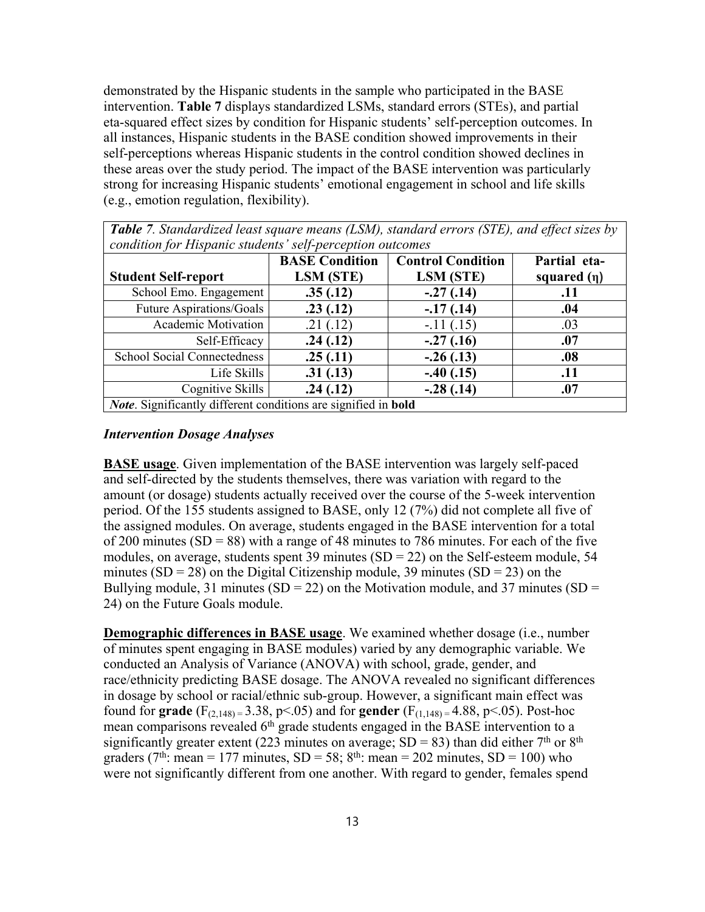demonstrated by the Hispanic students in the sample who participated in the BASE intervention. **Table 7** displays standardized LSMs, standard errors (STEs), and partial eta-squared effect sizes by condition for Hispanic students' self-perception outcomes. In all instances, Hispanic students in the BASE condition showed improvements in their self-perceptions whereas Hispanic students in the control condition showed declines in these areas over the study period. The impact of the BASE intervention was particularly strong for increasing Hispanic students' emotional engagement in school and life skills (e.g., emotion regulation, flexibility).

| <b>Student Self-report</b>         | <b>BASE Condition</b><br>LSM (STE) | <b>Control Condition</b><br>LSM (STE) | Partial eta-<br>squared $(\eta)$ |
|------------------------------------|------------------------------------|---------------------------------------|----------------------------------|
| School Emo. Engagement             | .35(.12)                           | $-.27(.14)$                           | .11                              |
| Future Aspirations/Goals           | .23(.12)                           | $-17(0.14)$                           | .04                              |
| <b>Academic Motivation</b>         | .21(.12)                           | $-.11(.15)$                           | .03                              |
| Self-Efficacy                      | .24(.12)                           | $-.27(.16)$                           | .07                              |
| <b>School Social Connectedness</b> | .25(.11)                           | $-.26(.13)$                           | .08                              |
| Life Skills                        | .31(.13)                           | $-.40(.15)$                           | .11                              |
| Cognitive Skills                   | .24(.12)                           | $-.28(.14)$                           | .07                              |

*Table 7. Standardized least square means (LSM), standard errors (STE), and effect sizes by* 

### *Intervention Dosage Analyses*

**BASE usage**. Given implementation of the BASE intervention was largely self-paced and self-directed by the students themselves, there was variation with regard to the amount (or dosage) students actually received over the course of the 5-week intervention period. Of the 155 students assigned to BASE, only 12 (7%) did not complete all five of the assigned modules. On average, students engaged in the BASE intervention for a total of 200 minutes  $(SD = 88)$  with a range of 48 minutes to 786 minutes. For each of the five modules, on average, students spent 39 minutes  $(SD = 22)$  on the Self-esteem module, 54 minutes  $(SD = 28)$  on the Digital Citizenship module, 39 minutes  $(SD = 23)$  on the Bullying module, 31 minutes (SD = 22) on the Motivation module, and 37 minutes (SD = 24) on the Future Goals module.

**Demographic differences in BASE usage**. We examined whether dosage (i.e., number of minutes spent engaging in BASE modules) varied by any demographic variable. We conducted an Analysis of Variance (ANOVA) with school, grade, gender, and race/ethnicity predicting BASE dosage. The ANOVA revealed no significant differences in dosage by school or racial/ethnic sub-group. However, a significant main effect was found for **grade** ( $F_{(2,148)} = 3.38$ ,  $p<0.05$ ) and for **gender** ( $F_{(1,148)} = 4.88$ ,  $p<0.05$ ). Post-hoc mean comparisons revealed 6<sup>th</sup> grade students engaged in the BASE intervention to a significantly greater extent (223 minutes on average;  $SD = 83$ ) than did either 7<sup>th</sup> or 8<sup>th</sup> graders (7<sup>th</sup>: mean = 177 minutes, SD = 58; 8<sup>th</sup>: mean = 202 minutes, SD = 100) who were not significantly different from one another. With regard to gender, females spend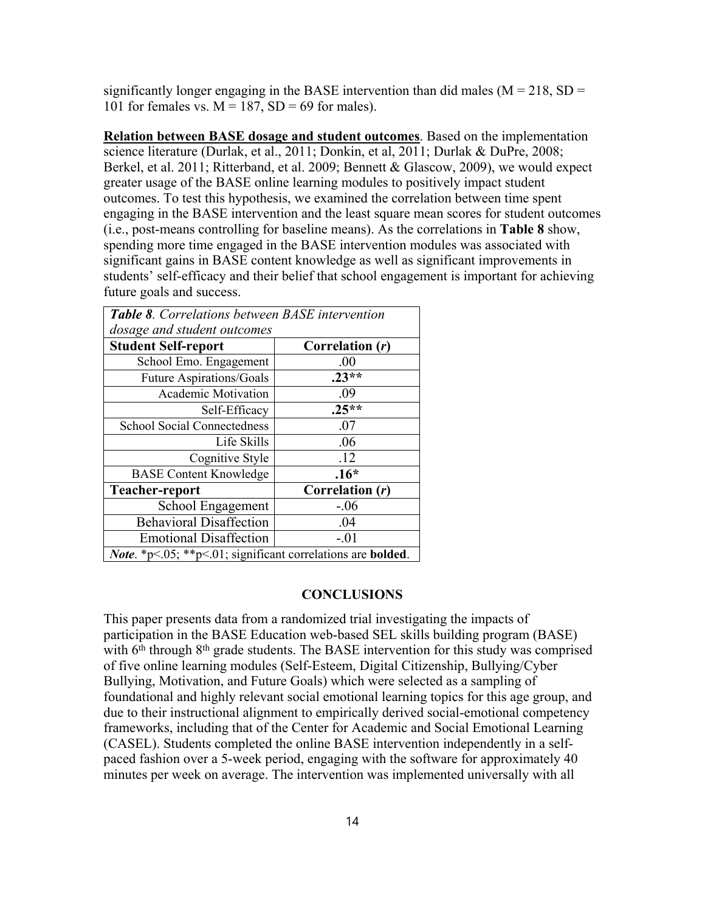significantly longer engaging in the BASE intervention than did males ( $M = 218$ , SD = 101 for females vs.  $M = 187$ ,  $SD = 69$  for males).

**Relation between BASE dosage and student outcomes**. Based on the implementation science literature (Durlak, et al., 2011; Donkin, et al, 2011; Durlak & DuPre, 2008; Berkel, et al. 2011; Ritterband, et al. 2009; Bennett & Glascow, 2009), we would expect greater usage of the BASE online learning modules to positively impact student outcomes. To test this hypothesis, we examined the correlation between time spent engaging in the BASE intervention and the least square mean scores for student outcomes (i.e., post-means controlling for baseline means). As the correlations in **Table 8** show, spending more time engaged in the BASE intervention modules was associated with significant gains in BASE content knowledge as well as significant improvements in students' self-efficacy and their belief that school engagement is important for achieving future goals and success.

| <b>Table 8.</b> Correlations between BASE intervention                     |                 |  |  |  |
|----------------------------------------------------------------------------|-----------------|--|--|--|
| dosage and student outcomes                                                |                 |  |  |  |
| <b>Student Self-report</b>                                                 | Correlation (r) |  |  |  |
| School Emo. Engagement                                                     | .00             |  |  |  |
| <b>Future Aspirations/Goals</b>                                            | $.23**$         |  |  |  |
| <b>Academic Motivation</b>                                                 | .09             |  |  |  |
| Self-Efficacy                                                              | $.25**$         |  |  |  |
| <b>School Social Connectedness</b>                                         | .07             |  |  |  |
| Life Skills                                                                | .06             |  |  |  |
| Cognitive Style                                                            | .12             |  |  |  |
| <b>BASE Content Knowledge</b>                                              | $.16*$          |  |  |  |
| <b>Teacher-report</b>                                                      | Correlation (r) |  |  |  |
| School Engagement                                                          | $-.06$          |  |  |  |
| <b>Behavioral Disaffection</b>                                             | .04             |  |  |  |
| <b>Emotional Disaffection</b>                                              | $-.01$          |  |  |  |
| <i>Note.</i> *p<.05; **p<.01; significant correlations are <b>bolded</b> . |                 |  |  |  |

### **CONCLUSIONS**

This paper presents data from a randomized trial investigating the impacts of participation in the BASE Education web-based SEL skills building program (BASE) with 6<sup>th</sup> through 8<sup>th</sup> grade students. The BASE intervention for this study was comprised of five online learning modules (Self-Esteem, Digital Citizenship, Bullying/Cyber Bullying, Motivation, and Future Goals) which were selected as a sampling of foundational and highly relevant social emotional learning topics for this age group, and due to their instructional alignment to empirically derived social-emotional competency frameworks, including that of the Center for Academic and Social Emotional Learning (CASEL). Students completed the online BASE intervention independently in a selfpaced fashion over a 5-week period, engaging with the software for approximately 40 minutes per week on average. The intervention was implemented universally with all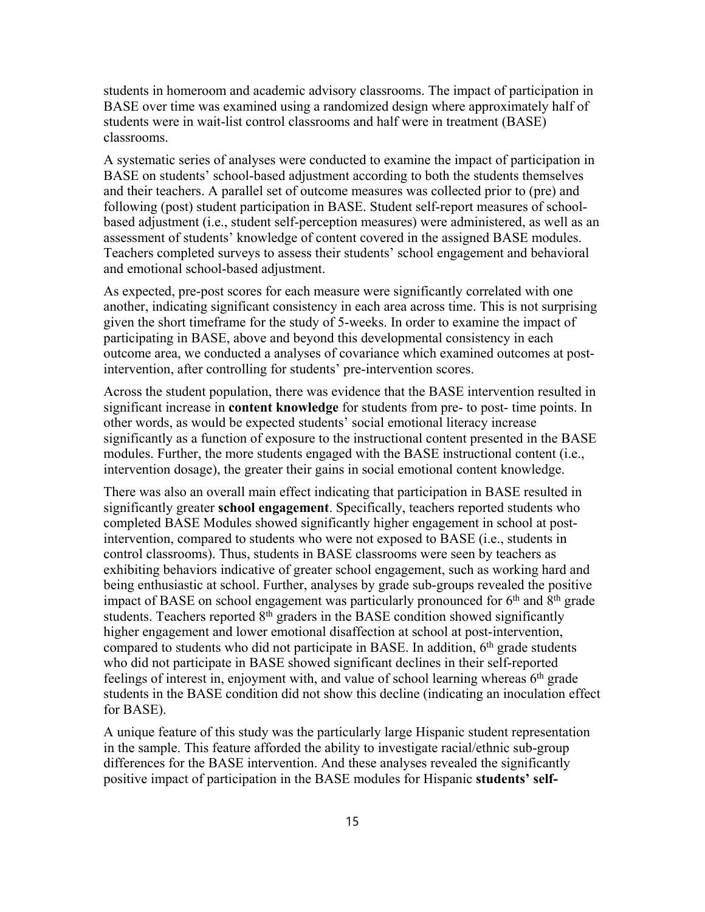students in homeroom and academic advisory classrooms. The impact of participation in BASE over time was examined using a randomized design where approximately half of students were in wait-list control classrooms and half were in treatment (BASE) classrooms.

A systematic series of analyses were conducted to examine the impact of participation in BASE on students' school-based adjustment according to both the students themselves and their teachers. A parallel set of outcome measures was collected prior to (pre) and following (post) student participation in BASE. Student self-report measures of schoolbased adjustment (i.e., student self-perception measures) were administered, as well as an assessment of students' knowledge of content covered in the assigned BASE modules. Teachers completed surveys to assess their students' school engagement and behavioral and emotional school-based adjustment.

As expected, pre-post scores for each measure were significantly correlated with one another, indicating significant consistency in each area across time. This is not surprising given the short timeframe for the study of 5-weeks. In order to examine the impact of participating in BASE, above and beyond this developmental consistency in each outcome area, we conducted a analyses of covariance which examined outcomes at postintervention, after controlling for students' pre-intervention scores.

Across the student population, there was evidence that the BASE intervention resulted in significant increase in **content knowledge** for students from pre- to post- time points. In other words, as would be expected students' social emotional literacy increase significantly as a function of exposure to the instructional content presented in the BASE modules. Further, the more students engaged with the BASE instructional content (i.e., intervention dosage), the greater their gains in social emotional content knowledge.

There was also an overall main effect indicating that participation in BASE resulted in significantly greater **school engagement**. Specifically, teachers reported students who completed BASE Modules showed significantly higher engagement in school at postintervention, compared to students who were not exposed to BASE (i.e., students in control classrooms). Thus, students in BASE classrooms were seen by teachers as exhibiting behaviors indicative of greater school engagement, such as working hard and being enthusiastic at school. Further, analyses by grade sub-groups revealed the positive impact of BASE on school engagement was particularly pronounced for  $6<sup>th</sup>$  and  $8<sup>th</sup>$  grade students. Teachers reported  $8<sup>th</sup>$  graders in the BASE condition showed significantly higher engagement and lower emotional disaffection at school at post-intervention, compared to students who did not participate in BASE. In addition,  $6<sup>th</sup>$  grade students who did not participate in BASE showed significant declines in their self-reported feelings of interest in, enjoyment with, and value of school learning whereas 6th grade students in the BASE condition did not show this decline (indicating an inoculation effect for BASE).

A unique feature of this study was the particularly large Hispanic student representation in the sample. This feature afforded the ability to investigate racial/ethnic sub-group differences for the BASE intervention. And these analyses revealed the significantly positive impact of participation in the BASE modules for Hispanic **students' self-**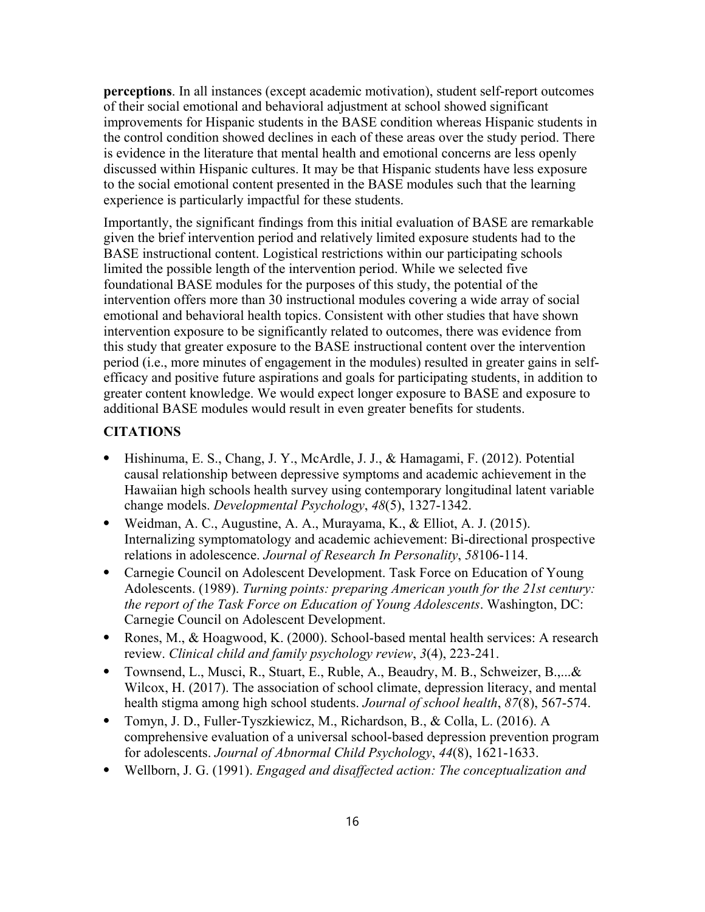**perceptions**. In all instances (except academic motivation), student self-report outcomes of their social emotional and behavioral adjustment at school showed significant improvements for Hispanic students in the BASE condition whereas Hispanic students in the control condition showed declines in each of these areas over the study period. There is evidence in the literature that mental health and emotional concerns are less openly discussed within Hispanic cultures. It may be that Hispanic students have less exposure to the social emotional content presented in the BASE modules such that the learning experience is particularly impactful for these students.

Importantly, the significant findings from this initial evaluation of BASE are remarkable given the brief intervention period and relatively limited exposure students had to the BASE instructional content. Logistical restrictions within our participating schools limited the possible length of the intervention period. While we selected five foundational BASE modules for the purposes of this study, the potential of the intervention offers more than 30 instructional modules covering a wide array of social emotional and behavioral health topics. Consistent with other studies that have shown intervention exposure to be significantly related to outcomes, there was evidence from this study that greater exposure to the BASE instructional content over the intervention period (i.e., more minutes of engagement in the modules) resulted in greater gains in selfefficacy and positive future aspirations and goals for participating students, in addition to greater content knowledge. We would expect longer exposure to BASE and exposure to additional BASE modules would result in even greater benefits for students.

## **CITATIONS**

- ⦁ Hishinuma, E. S., Chang, J. Y., McArdle, J. J., & Hamagami, F. (2012). Potential causal relationship between depressive symptoms and academic achievement in the Hawaiian high schools health survey using contemporary longitudinal latent variable change models. *Developmental Psychology*, *48*(5), 1327-1342.
- ⦁ Weidman, A. C., Augustine, A. A., Murayama, K., & Elliot, A. J. (2015). Internalizing symptomatology and academic achievement: Bi-directional prospective relations in adolescence. *Journal of Research In Personality*, *58*106-114.
- ⦁ Carnegie Council on Adolescent Development. Task Force on Education of Young Adolescents. (1989). *Turning points: preparing American youth for the 21st century: the report of the Task Force on Education of Young Adolescents*. Washington, DC: Carnegie Council on Adolescent Development.
- ⦁ Rones, M., & Hoagwood, K. (2000). School-based mental health services: A research review. *Clinical child and family psychology review*, *3*(4), 223-241.
- ⦁ Townsend, L., Musci, R., Stuart, E., Ruble, A., Beaudry, M. B., Schweizer, B.,...& Wilcox, H. (2017). The association of school climate, depression literacy, and mental health stigma among high school students. *Journal of school health*, *87*(8), 567-574.
- ⦁ Tomyn, J. D., Fuller-Tyszkiewicz, M., Richardson, B., & Colla, L. (2016). A comprehensive evaluation of a universal school-based depression prevention program for adolescents. *Journal of Abnormal Child Psychology*, *44*(8), 1621-1633.
- ⦁ Wellborn, J. G. (1991). *Engaged and disaffected action: The conceptualization and*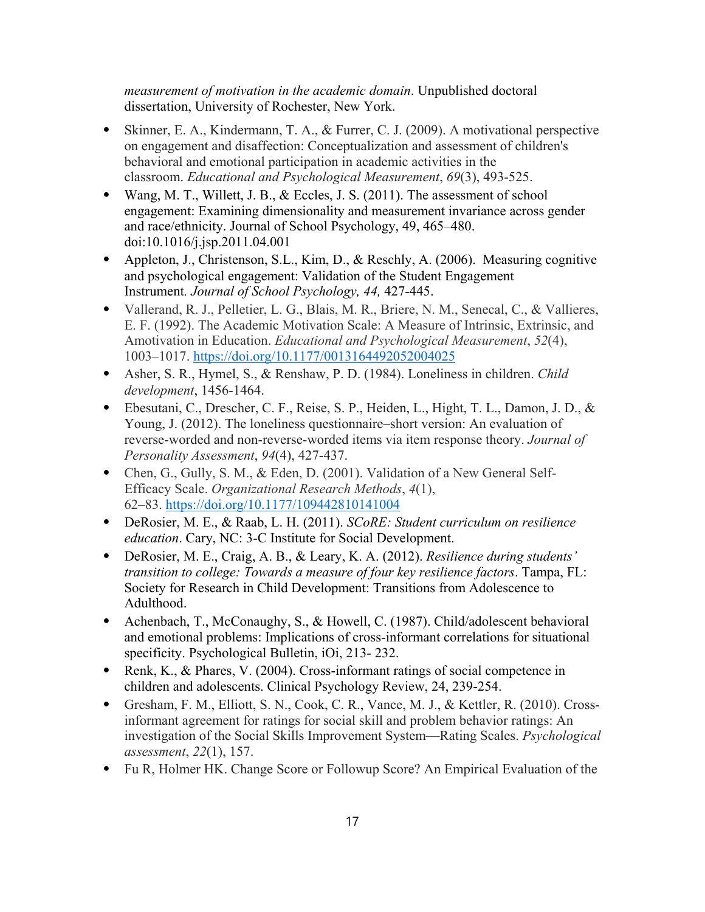*measurement of motivation in the academic domain*. Unpublished doctoral dissertation, University of Rochester, New York.

- ⦁ Skinner, E. A., Kindermann, T. A., & Furrer, C. J. (2009). A motivational perspective on engagement and disaffection: Conceptualization and assessment of children's behavioral and emotional participation in academic activities in the classroom. *Educational and Psychological Measurement*, *69*(3), 493-525.
- Wang, M. T., Willett, J. B., & Eccles, J. S. (2011). The assessment of school engagement: Examining dimensionality and measurement invariance across gender and race/ethnicity. Journal of School Psychology, 49, 465–480. doi:10.1016/j.jsp.2011.04.001
- ⦁ Appleton, J., Christenson, S.L., Kim, D., & Reschly, A. (2006). Measuring cognitive and psychological engagement: Validation of the Student Engagement Instrument*. Journal of School Psychology, 44,* 427-445.
- ⦁ Vallerand, R. J., Pelletier, L. G., Blais, M. R., Briere, N. M., Senecal, C., & Vallieres, E. F. (1992). The Academic Motivation Scale: A Measure of Intrinsic, Extrinsic, and Amotivation in Education. *Educational and Psychological Measurement*, *52*(4), 1003–1017. https://doi.org/10.1177/0013164492052004025
- ⦁ Asher, S. R., Hymel, S., & Renshaw, P. D. (1984). Loneliness in children. *Child development*, 1456-1464.
- ⦁ Ebesutani, C., Drescher, C. F., Reise, S. P., Heiden, L., Hight, T. L., Damon, J. D., & Young, J. (2012). The loneliness questionnaire–short version: An evaluation of reverse-worded and non-reverse-worded items via item response theory. *Journal of Personality Assessment*, *94*(4), 427-437.
- ⦁ Chen, G., Gully, S. M., & Eden, D. (2001). Validation of a New General Self-Efficacy Scale. *Organizational Research Methods*, *4*(1), 62–83. https://doi.org/10.1177/109442810141004
- ⦁ DeRosier, M. E., & Raab, L. H. (2011). *SCoRE: Student curriculum on resilience education*. Cary, NC: 3-C Institute for Social Development.
- ⦁ DeRosier, M. E., Craig, A. B., & Leary, K. A. (2012). *Resilience during students' transition to college: Towards a measure of four key resilience factors*. Tampa, FL: Society for Research in Child Development: Transitions from Adolescence to Adulthood.
- ⦁ Achenbach, T., McConaughy, S., & Howell, C. (1987). Child/adolescent behavioral and emotional problems: Implications of cross-informant correlations for situational specificity. Psychological Bulletin, iOi, 213- 232.
- Renk, K., & Phares, V. (2004). Cross-informant ratings of social competence in children and adolescents. Clinical Psychology Review, 24, 239-254.
- ⦁ Gresham, F. M., Elliott, S. N., Cook, C. R., Vance, M. J., & Kettler, R. (2010). Crossinformant agreement for ratings for social skill and problem behavior ratings: An investigation of the Social Skills Improvement System—Rating Scales. *Psychological assessment*, *22*(1), 157.
- ⦁ Fu R, Holmer HK. Change Score or Followup Score? An Empirical Evaluation of the